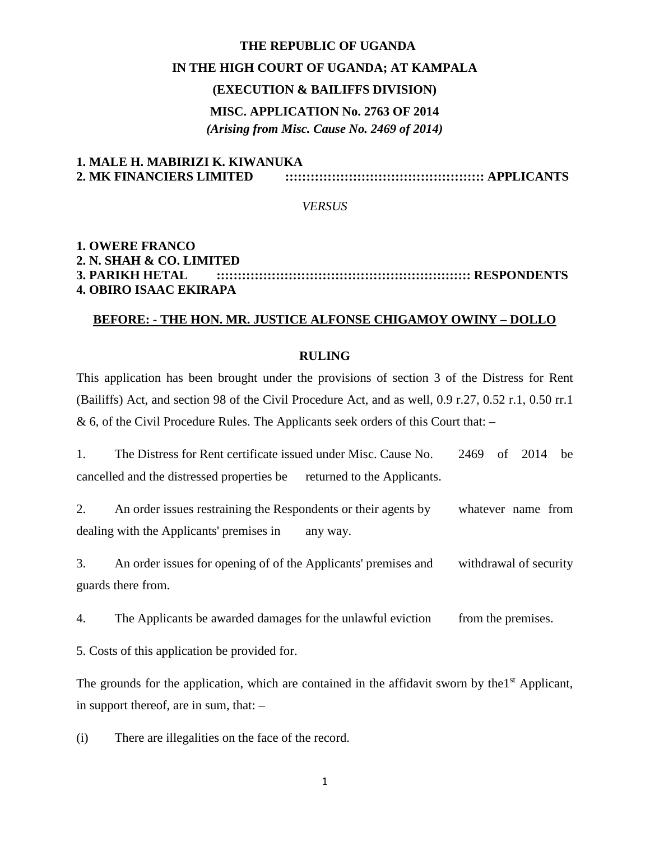### **THE REPUBLIC OF UGANDA**

### **IN THE HIGH COURT OF UGANDA; AT KAMPALA**

### **(EXECUTION & BAILIFFS DIVISION)**

# **MISC. APPLICATION No. 2763 OF 2014** *(Arising from Misc. Cause No. 2469 of 2014)*

# **1. MALE H. MABIRIZI K. KIWANUKA 2. MK FINANCIERS LIMITED ::::::::::::::::::::::::::::::::::::::::::::::: APPLICANTS**

#### *VERSUS*

# **1. OWERE FRANCO 2. N. SHAH & CO. LIMITED 3. PARIKH HETAL :::::::::::::::::::::::::::::::::::::::::::::::::::::::::::: RESPONDENTS 4. OBIRO ISAAC EKIRAPA**

# **BEFORE: - THE HON. MR. JUSTICE ALFONSE CHIGAMOY OWINY – DOLLO**

### **RULING**

This application has been brought under the provisions of section 3 of the Distress for Rent (Bailiffs) Act, and section 98 of the Civil Procedure Act, and as well, 0.9 r.27, 0.52 r.1, 0.50 rr.1  $\&$  6, of the Civil Procedure Rules. The Applicants seek orders of this Court that:  $-$ 

1. The Distress for Rent certificate issued under Misc. Cause No. 2469 of 2014 be cancelled and the distressed properties be returned to the Applicants.

2. An order issues restraining the Respondents or their agents by whatever name from dealing with the Applicants' premises in any way.

3. An order issues for opening of of the Applicants' premises and withdrawal of security guards there from.

4. The Applicants be awarded damages for the unlawful eviction from the premises.

5. Costs of this application be provided for.

The grounds for the application, which are contained in the affidavit sworn by the  $1<sup>st</sup>$  Applicant, in support thereof, are in sum, that: –

(i) There are illegalities on the face of the record.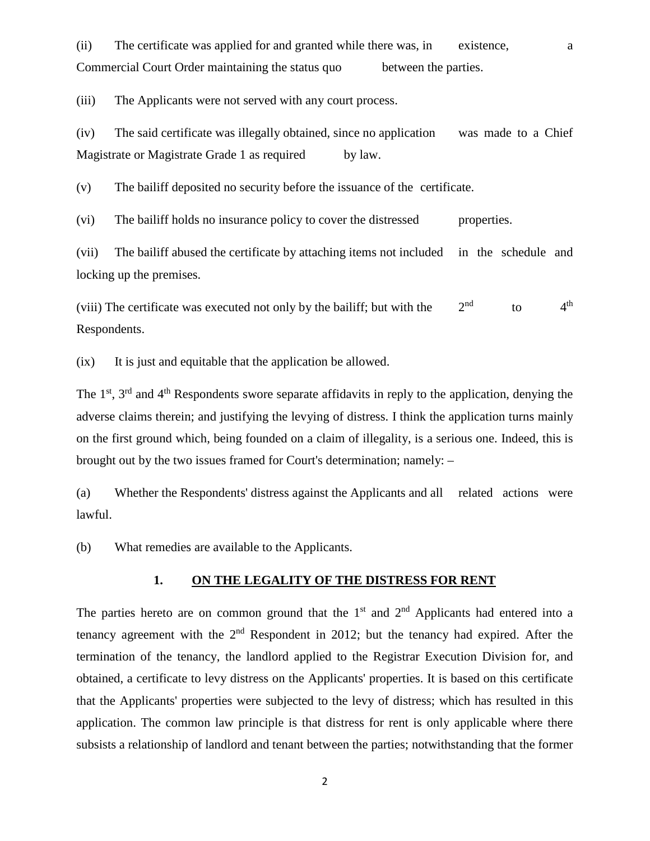(ii) The certificate was applied for and granted while there was, in existence, a Commercial Court Order maintaining the status quo between the parties.

(iii) The Applicants were not served with any court process.

(iv) The said certificate was illegally obtained, since no application was made to a Chief Magistrate or Magistrate Grade 1 as required by law.

(v) The bailiff deposited no security before the issuance of the certificate.

(vi) The bailiff holds no insurance policy to cover the distressed properties.

(vii) The bailiff abused the certificate by attaching items not included in the schedule and locking up the premises.

(viii) The certificate was executed not only by the bailiff; but with the  $2<sup>nd</sup>$  to  $4<sup>th</sup>$ Respondents.

(ix) It is just and equitable that the application be allowed.

The  $1<sup>st</sup>$ ,  $3<sup>rd</sup>$  and  $4<sup>th</sup>$  Respondents swore separate affidavits in reply to the application, denying the adverse claims therein; and justifying the levying of distress. I think the application turns mainly on the first ground which, being founded on a claim of illegality, is a serious one. Indeed, this is brought out by the two issues framed for Court's determination; namely: –

(a) Whether the Respondents' distress against the Applicants and all related actions were lawful.

(b) What remedies are available to the Applicants.

## **1. ON THE LEGALITY OF THE DISTRESS FOR RENT**

The parties hereto are on common ground that the  $1<sup>st</sup>$  and  $2<sup>nd</sup>$  Applicants had entered into a tenancy agreement with the  $2<sup>nd</sup>$  Respondent in 2012; but the tenancy had expired. After the termination of the tenancy, the landlord applied to the Registrar Execution Division for, and obtained, a certificate to levy distress on the Applicants' properties. It is based on this certificate that the Applicants' properties were subjected to the levy of distress; which has resulted in this application. The common law principle is that distress for rent is only applicable where there subsists a relationship of landlord and tenant between the parties; notwithstanding that the former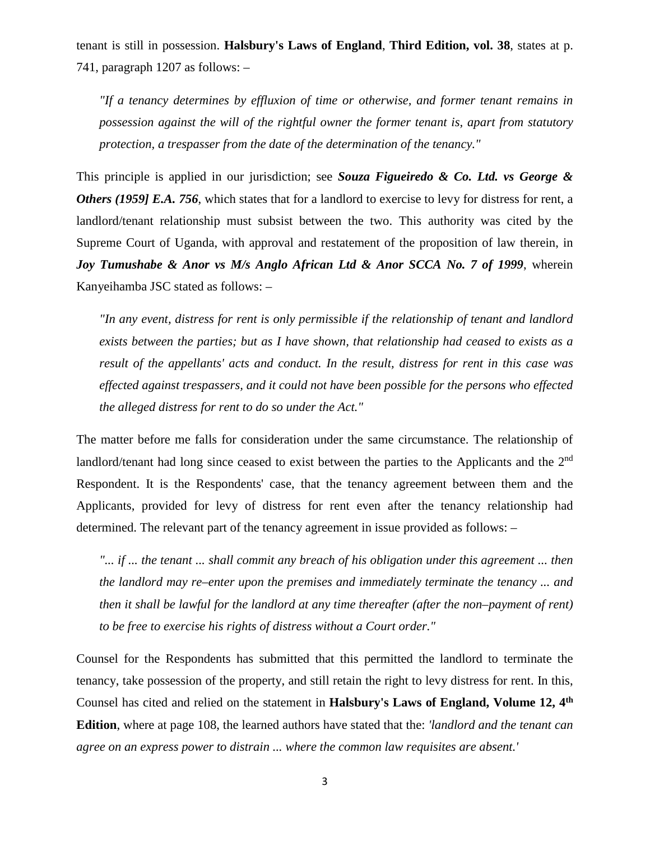tenant is still in possession. **Halsbury's Laws of England**, **Third Edition, vol. 38**, states at p. 741, paragraph 1207 as follows: –

*"If a tenancy determines by effluxion of time or otherwise, and former tenant remains in possession against the will of the rightful owner the former tenant is, apart from statutory protection, a trespasser from the date of the determination of the tenancy."*

This principle is applied in our jurisdiction; see *Souza Figueiredo & Co. Ltd. vs George & Others (1959] E.A. 756*, which states that for a landlord to exercise to levy for distress for rent, a landlord/tenant relationship must subsist between the two. This authority was cited by the Supreme Court of Uganda, with approval and restatement of the proposition of law therein, in *Joy Tumushabe & Anor vs M/s Anglo African Ltd & Anor SCCA No. 7 of 1999*, wherein Kanyeihamba JSC stated as follows: –

*"In any event, distress for rent is only permissible if the relationship of tenant and landlord exists between the parties; but as I have shown, that relationship had ceased to exists as a result of the appellants' acts and conduct. In the result, distress for rent in this case was effected against trespassers, and it could not have been possible for the persons who effected the alleged distress for rent to do so under the Act."*

The matter before me falls for consideration under the same circumstance. The relationship of landlord/tenant had long since ceased to exist between the parties to the Applicants and the 2<sup>nd</sup> Respondent. It is the Respondents' case, that the tenancy agreement between them and the Applicants, provided for levy of distress for rent even after the tenancy relationship had determined. The relevant part of the tenancy agreement in issue provided as follows: –

*"... if ... the tenant ... shall commit any breach of his obligation under this agreement ... then*" *the landlord may re–enter upon the premises and immediately terminate the tenancy ... and then it shall be lawful for the landlord at any time thereafter (after the non–payment of rent) to be free to exercise his rights of distress without a Court order."*

Counsel for the Respondents has submitted that this permitted the landlord to terminate the tenancy, take possession of the property, and still retain the right to levy distress for rent. In this, Counsel has cited and relied on the statement in **Halsbury's Laws of England, Volume 12, 4th Edition**, where at page 108, the learned authors have stated that the: *'landlord and the tenant can agree on an express power to distrain ... where the common law requisites are absent.'*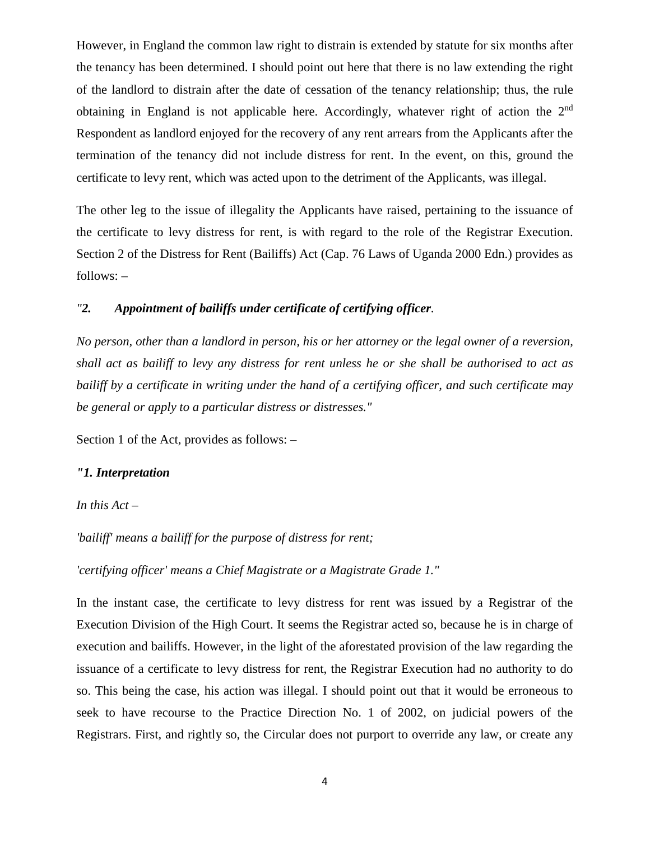However, in England the common law right to distrain is extended by statute for six months after the tenancy has been determined. I should point out here that there is no law extending the right of the landlord to distrain after the date of cessation of the tenancy relationship; thus, the rule obtaining in England is not applicable here. Accordingly, whatever right of action the 2<sup>nd</sup> Respondent as landlord enjoyed for the recovery of any rent arrears from the Applicants after the termination of the tenancy did not include distress for rent. In the event, on this, ground the certificate to levy rent, which was acted upon to the detriment of the Applicants, was illegal.

The other leg to the issue of illegality the Applicants have raised, pertaining to the issuance of the certificate to levy distress for rent, is with regard to the role of the Registrar Execution. Section 2 of the Distress for Rent (Bailiffs) Act (Cap. 76 Laws of Uganda 2000 Edn.) provides as follows: –

# *"2. Appointment of bailiffs under certificate of certifying officer.*

*No person, other than a landlord in person, his or her attorney or the legal owner of a reversion, shall act as bailiff to levy any distress for rent unless he or she shall be authorised to act as bailiff by a certificate in writing under the hand of a certifying officer, and such certificate may be general or apply to a particular distress or distresses."* 

Section 1 of the Act, provides as follows: –

### *"1. Interpretation*

*In this Act –*

*'bailiff' means a bailiff for the purpose of distress for rent;*

*'certifying officer' means a Chief Magistrate or a Magistrate Grade 1."*

In the instant case, the certificate to levy distress for rent was issued by a Registrar of the Execution Division of the High Court. It seems the Registrar acted so, because he is in charge of execution and bailiffs. However, in the light of the aforestated provision of the law regarding the issuance of a certificate to levy distress for rent, the Registrar Execution had no authority to do so. This being the case, his action was illegal. I should point out that it would be erroneous to seek to have recourse to the Practice Direction No. 1 of 2002, on judicial powers of the Registrars. First, and rightly so, the Circular does not purport to override any law, or create any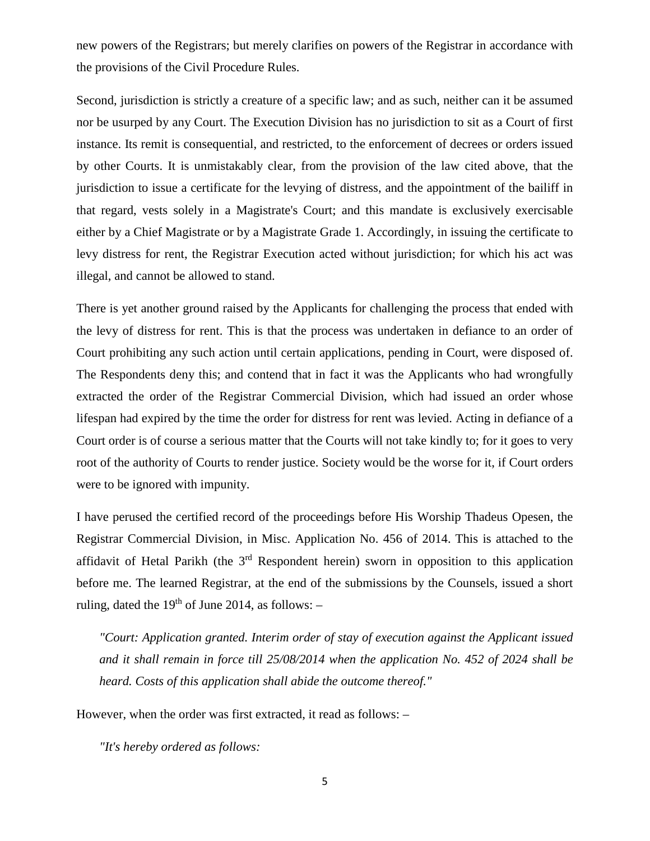new powers of the Registrars; but merely clarifies on powers of the Registrar in accordance with the provisions of the Civil Procedure Rules.

Second, jurisdiction is strictly a creature of a specific law; and as such, neither can it be assumed nor be usurped by any Court. The Execution Division has no jurisdiction to sit as a Court of first instance. Its remit is consequential, and restricted, to the enforcement of decrees or orders issued by other Courts. It is unmistakably clear, from the provision of the law cited above, that the jurisdiction to issue a certificate for the levying of distress, and the appointment of the bailiff in that regard, vests solely in a Magistrate's Court; and this mandate is exclusively exercisable either by a Chief Magistrate or by a Magistrate Grade 1. Accordingly, in issuing the certificate to levy distress for rent, the Registrar Execution acted without jurisdiction; for which his act was illegal, and cannot be allowed to stand.

There is yet another ground raised by the Applicants for challenging the process that ended with the levy of distress for rent. This is that the process was undertaken in defiance to an order of Court prohibiting any such action until certain applications, pending in Court, were disposed of. The Respondents deny this; and contend that in fact it was the Applicants who had wrongfully extracted the order of the Registrar Commercial Division, which had issued an order whose lifespan had expired by the time the order for distress for rent was levied. Acting in defiance of a Court order is of course a serious matter that the Courts will not take kindly to; for it goes to very root of the authority of Courts to render justice. Society would be the worse for it, if Court orders were to be ignored with impunity.

I have perused the certified record of the proceedings before His Worship Thadeus Opesen, the Registrar Commercial Division, in Misc. Application No. 456 of 2014. This is attached to the affidavit of Hetal Parikh (the 3rd Respondent herein) sworn in opposition to this application before me. The learned Registrar, at the end of the submissions by the Counsels, issued a short ruling, dated the  $19<sup>th</sup>$  of June 2014, as follows:  $-$ 

*"Court: Application granted. Interim order of stay of execution against the Applicant issued and it shall remain in force till 25/08/2014 when the application No. 452 of 2024 shall be heard. Costs of this application shall abide the outcome thereof."*

However, when the order was first extracted, it read as follows: –

*"It's hereby ordered as follows:*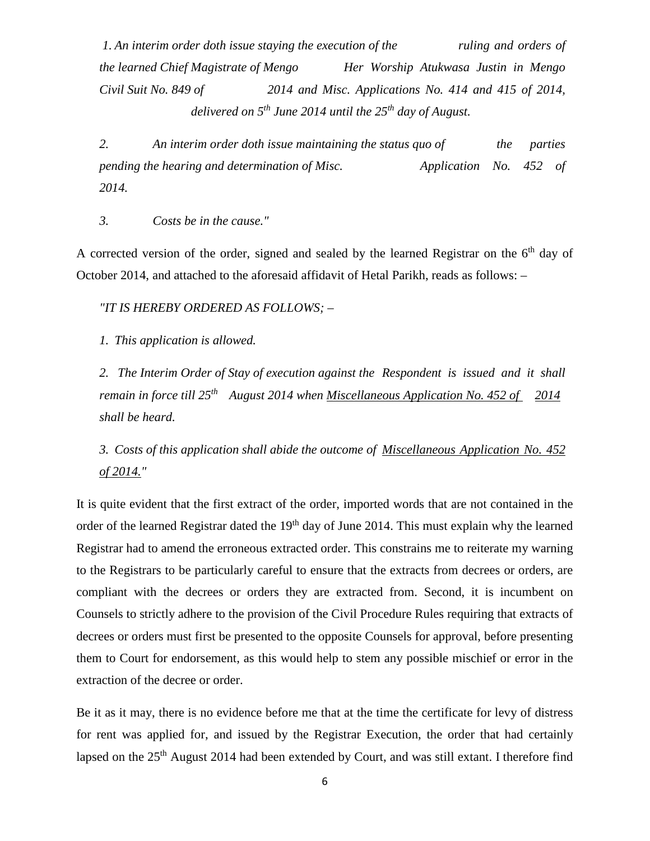*1. An interim order doth issue staying the execution of the ruling and orders of the learned Chief Magistrate of Mengo Her Worship Atukwasa Justin in Mengo Civil Suit No. 849 of 2014 and Misc. Applications No. 414 and 415 of 2014, delivered on 5th June 2014 until the 25th day of August.*

*2. An interim order doth issue maintaining the status quo of the parties pending the hearing and determination of Misc. Application No. 452 of 2014.*

*3. Costs be in the cause."*

A corrected version of the order, signed and sealed by the learned Registrar on the  $6<sup>th</sup>$  day of October 2014, and attached to the aforesaid affidavit of Hetal Parikh, reads as follows: –

*"IT IS HEREBY ORDERED AS FOLLOWS; –*

*1. This application is allowed.*

*2. The Interim Order of Stay of execution against the Respondent is issued and it shall remain in force till 25th August 2014 when Miscellaneous Application No. 452 of 2014 shall be heard.*

*3. Costs of this application shall abide the outcome of Miscellaneous Application No. 452 of 2014."* 

It is quite evident that the first extract of the order, imported words that are not contained in the order of the learned Registrar dated the 19<sup>th</sup> day of June 2014. This must explain why the learned Registrar had to amend the erroneous extracted order. This constrains me to reiterate my warning to the Registrars to be particularly careful to ensure that the extracts from decrees or orders, are compliant with the decrees or orders they are extracted from. Second, it is incumbent on Counsels to strictly adhere to the provision of the Civil Procedure Rules requiring that extracts of decrees or orders must first be presented to the opposite Counsels for approval, before presenting them to Court for endorsement, as this would help to stem any possible mischief or error in the extraction of the decree or order.

Be it as it may, there is no evidence before me that at the time the certificate for levy of distress for rent was applied for, and issued by the Registrar Execution, the order that had certainly lapsed on the 25<sup>th</sup> August 2014 had been extended by Court, and was still extant. I therefore find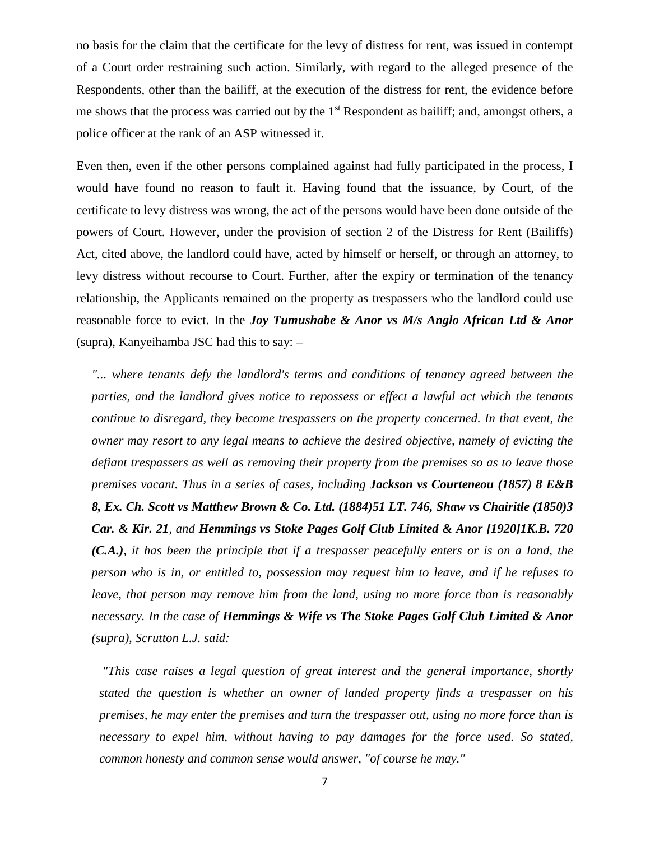no basis for the claim that the certificate for the levy of distress for rent, was issued in contempt of a Court order restraining such action. Similarly, with regard to the alleged presence of the Respondents, other than the bailiff, at the execution of the distress for rent, the evidence before me shows that the process was carried out by the 1<sup>st</sup> Respondent as bailiff; and, amongst others, a police officer at the rank of an ASP witnessed it.

Even then, even if the other persons complained against had fully participated in the process, I would have found no reason to fault it. Having found that the issuance, by Court, of the certificate to levy distress was wrong, the act of the persons would have been done outside of the powers of Court. However, under the provision of section 2 of the Distress for Rent (Bailiffs) Act, cited above, the landlord could have, acted by himself or herself, or through an attorney, to levy distress without recourse to Court. Further, after the expiry or termination of the tenancy relationship, the Applicants remained on the property as trespassers who the landlord could use reasonable force to evict. In the *Joy Tumushabe & Anor vs M/s Anglo African Ltd & Anor*  (supra), Kanyeihamba JSC had this to say: –

*"... where tenants defy the landlord's terms and conditions of tenancy agreed between the parties, and the landlord gives notice to repossess or effect a lawful act which the tenants continue to disregard, they become trespassers on the property concerned. In that event, the owner may resort to any legal means to achieve the desired objective, namely of evicting the defiant trespassers as well as removing their property from the premises so as to leave those premises vacant. Thus in a series of cases, including Jackson vs Courteneou (1857) 8 E&B 8, Ex. Ch. Scott vs Matthew Brown & Co. Ltd. (1884)51 LT. 746, Shaw vs Chairitle (1850)3 Car. & Kir. 21, and Hemmings vs Stoke Pages Golf Club Limited & Anor [1920]1K.B. 720 (C.A.), it has been the principle that if a trespasser peacefully enters or is on a land, the person who is in, or entitled to, possession may request him to leave, and if he refuses to leave, that person may remove him from the land, using no more force than is reasonably necessary. In the case of Hemmings & Wife vs The Stoke Pages Golf Club Limited & Anor (supra), Scrutton L.J. said:*

*"This case raises a legal question of great interest and the general importance, shortly stated the question is whether an owner of landed property finds a trespasser on his premises, he may enter the premises and turn the trespasser out, using no more force than is necessary to expel him, without having to pay damages for the force used. So stated, common honesty and common sense would answer, "of course he may."*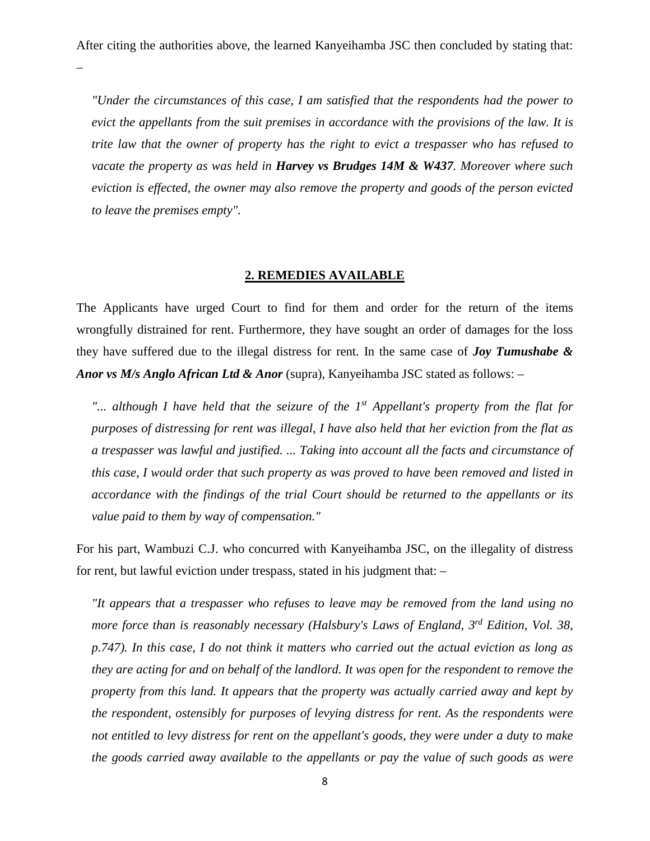–

*"Under the circumstances of this case, I am satisfied that the respondents had the power to evict the appellants from the suit premises in accordance with the provisions of the law. It is trite law that the owner of property has the right to evict a trespasser who has refused to vacate the property as was held in Harvey vs Brudges 14M & W437. Moreover where such eviction is effected, the owner may also remove the property and goods of the person evicted to leave the premises empty".*

# **2. REMEDIES AVAILABLE**

The Applicants have urged Court to find for them and order for the return of the items wrongfully distrained for rent. Furthermore, they have sought an order of damages for the loss they have suffered due to the illegal distress for rent. In the same case of *Joy Tumushabe & Anor vs M/s Anglo African Ltd & Anor* (supra), Kanyeihamba JSC stated as follows: –

*"... although I have held that the seizure of the 1st Appellant's property from the flat for purposes of distressing for rent was illegal, I have also held that her eviction from the flat as a trespasser was lawful and justified. ... Taking into account all the facts and circumstance of this case, I would order that such property as was proved to have been removed and listed in accordance with the findings of the trial Court should be returned to the appellants or its value paid to them by way of compensation."*

For his part, Wambuzi C.J. who concurred with Kanyeihamba JSC, on the illegality of distress for rent, but lawful eviction under trespass, stated in his judgment that: –

*"It appears that a trespasser who refuses to leave may be removed from the land using no more force than is reasonably necessary (Halsbury's Laws of England, 3<sup>rd</sup> Edition, Vol. 38, p.747). In this case, I do not think it matters who carried out the actual eviction as long as they are acting for and on behalf of the landlord. It was open for the respondent to remove the property from this land. It appears that the property was actually carried away and kept by the respondent, ostensibly for purposes of levying distress for rent. As the respondents were not entitled to levy distress for rent on the appellant's goods, they were under a duty to make the goods carried away available to the appellants or pay the value of such goods as were*